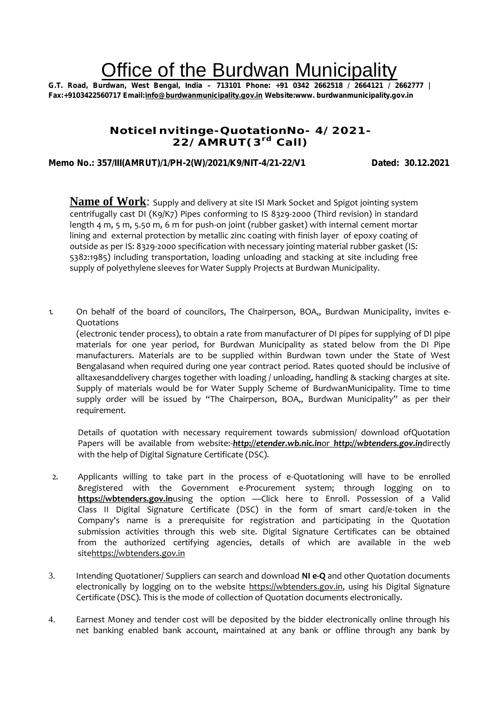# Office of the Burdwan Municipality

**G.T. Road, Burdwan, West Bengal, India – 713101 Phone: +91 0342 2662518 / 2664121 / 2662777 | Fax:+9103422560717 Email:info@burdwanmunicipality.gov.in Website:www. burdwanmunicipality.gov.in**

## **NoticeInvitinge-QuotationNo- 4/2021- 22/AMRUT(3 rd Call)**

## **Memo No.: 357/III(AMRUT)/1/PH-2(W)/2021/K9/NIT-4/21-22/V1 Dated: 30.12.2021**

**Name of Work**: Supply and delivery at site ISI Mark Socket and Spigot jointing system centrifugally cast DI (K9/K7) Pipes conforming to IS 8329-2000 (Third revision) in standard length 4 m, 5 m, 5.50 m, 6 m for push-on joint (rubber gasket) with internal cement mortar lining and external protection by metallic zinc coating with finish layer of epoxy coating of outside as per IS: 8329-2000 specification with necessary jointing material rubber gasket (IS: 5382:1985) including transportation, loading unloading and stacking at site including free supply of polyethylene sleeves for Water Supply Projects at Burdwan Municipality.

1. On behalf of the board of councilors, The Chairperson, BOA,, Burdwan Municipality, invites e- Quotations

(electronic tender process), to obtain a rate from manufacturer of DI pipes for supplying of DI pipe materials for one year period, for Burdwan Municipality as stated below from the DI Pipe manufacturers. Materials are to be supplied within Burdwan town under the State of West Bengalasand when required during one year contract period. Rates quoted should be inclusive of alltaxesanddelivery charges together with loading / unloading, handling & stacking charges at site. Supply of materials would be for Water Supply Scheme of BurdwanMunicipality. Time to time supply order will be issued by "The Chairperson, BOA,, Burdwan Municipality" as per their requirement.

Details of quotation with necessary requirement towards submission/ download ofQuotation Papers will be available from website:-*http://etender.wb.nic.in*or *http://wbtenders.gov.in*directly with the help of Digital Signature Certificate (DSC).

- 2. Applicants willing to take part in the process of e-Quotationing will have to be enrolled &registered with the Government e-Procurement system; through logging on to **https://wbtenders.gov.in**using the option —Click here to Enroll. Possession of a Valid Class II Digital Signature Certificate (DSC) in the form of smart card/e-token in the Company's name is a prerequisite for registration and participating in the Quotation submission activities through this web site. Digital Signature Certificates can be obtained from the authorized certifying agencies, details of which are available in the web sitehttps://wbtenders.gov.in
- 3. Intending Quotationer/ Suppliers can search and download **NI e-Q** and other Quotation documents electronically by logging on to the website https://wbtenders.gov.in, using his Digital Signature Certificate (DSC). This is the mode of collection of Quotation documents electronically.
- 4. Earnest Money and tender cost will be deposited by the bidder electronically online through his net banking enabled bank account, maintained at any bank or offline through any bank by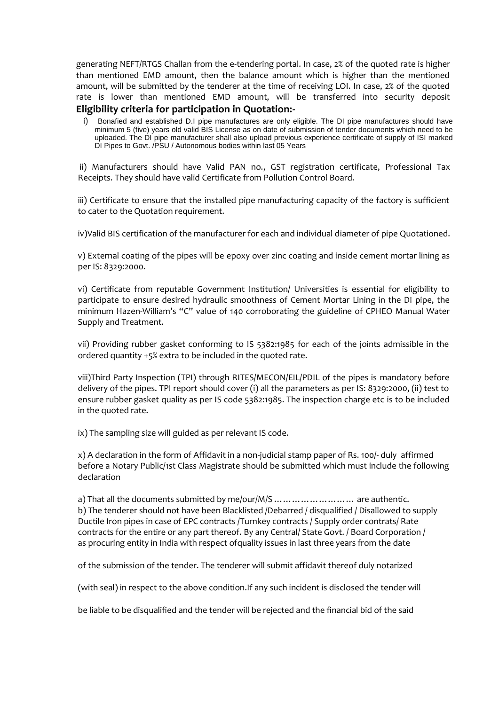generating NEFT/RTGS Challan from the e-tendering portal. In case, 2% of the quoted rate is higher than mentioned EMD amount, then the balance amount which is higher than the mentioned amount, will be submitted by the tenderer at the time of receiving LOI. In case, 2% of the quoted rate is lower than mentioned EMD amount, will be transferred into security deposit

### **Eligibility criteria for participation in Quotation:-**

i) Bonafied and established D.I pipe manufactures are only eligible. The DI pipe manufactures should have minimum 5 (five) years old valid BIS License as on date of submission of tender documents which need to be uploaded. The DI pipe manufacturer shall also upload previous experience certificate of supply of ISI marked DI Pipes to Govt. /PSU / Autonomous bodies within last 05 Years

ii) Manufacturers should have Valid PAN no., GST registration certificate, Professional Tax Receipts. They should have valid Certificate from Pollution Control Board.

iii) Certificate to ensure that the installed pipe manufacturing capacity of the factory is sufficient to cater to the Quotation requirement.

iv)Valid BIS certification of the manufacturer for each and individual diameter of pipe Quotationed.

v) External coating of the pipes will be epoxy over zinc coating and inside cement mortar lining as per IS: 8329:2000.

vi) Certificate from reputable Government Institution/ Universities is essential for eligibility to participate to ensure desired hydraulic smoothness of Cement Mortar Lining in the DI pipe, the minimum Hazen-William's "C" value of 140 corroborating the guideline of CPHEO Manual Water Supply and Treatment.

vii) Providing rubber gasket conforming to IS 5382:1985 for each of the joints admissible in the ordered quantity +5% extra to be included in the quoted rate.

viii)Third Party Inspection (TPI) through RITES/MECON/EIL/PDIL of the pipes is mandatory before delivery of the pipes. TPI report should cover (i) all the parameters as per IS: 8329:2000, (ii) test to ensure rubber gasket quality as per IS code 5382:1985. The inspection charge etc is to be included in the quoted rate.

ix) The sampling size will guided as per relevant IS code.

x) A declaration in the form of Affidavit in a non-judicial stamp paper of Rs. 100/- duly affirmed before a Notary Public/1st Class Magistrate should be submitted which must include the following declaration

a) That all the documents submitted by me/our/M/S ……………………… are authentic. b) The tenderer should not have been Blacklisted /Debarred / disqualified / Disallowed to supply Ductile Iron pipes in case of EPC contracts /Turnkey contracts / Supply order contrats/ Rate contracts for the entire or any part thereof. By any Central/ State Govt. / Board Corporation / as procuring entity in India with respect ofquality issues in last three years from the date

of the submission of the tender. The tenderer will submit affidavit thereof duly notarized

(with seal) in respect to the above condition.If any such incident is disclosed the tender will

be liable to be disqualified and the tender will be rejected and the financial bid of the said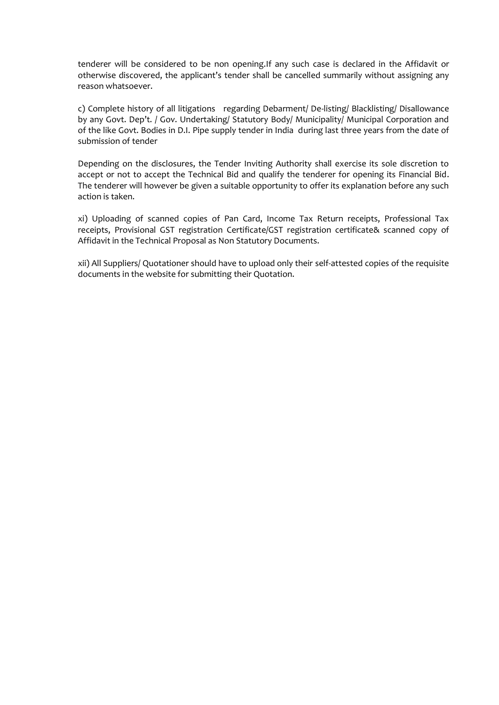tenderer will be considered to be non opening.If any such case is declared in the Affidavit or otherwise discovered, the applicant's tender shall be cancelled summarily without assigning any reason whatsoever.

c) Complete history of all litigations regarding Debarment/ De-listing/ Blacklisting/ Disallowance by any Govt. Dep't. / Gov. Undertaking/ Statutory Body/ Municipality/ Municipal Corporation and of the like Govt. Bodies in D.I. Pipe supply tender in India during last three years from the date of submission of tender

Depending on the disclosures, the Tender Inviting Authority shall exercise its sole discretion to accept or not to accept the Technical Bid and qualify the tenderer for opening its Financial Bid. The tenderer will however be given a suitable opportunity to offer its explanation before any such action is taken.

xi) Uploading of scanned copies of Pan Card, Income Tax Return receipts, Professional Tax receipts, Provisional GST registration Certificate/GST registration certificate& scanned copy of Affidavit in the Technical Proposal as Non Statutory Documents.

xii) All Suppliers/ Quotationer should have to upload only their self-attested copies of the requisite documents in the website for submitting their Quotation.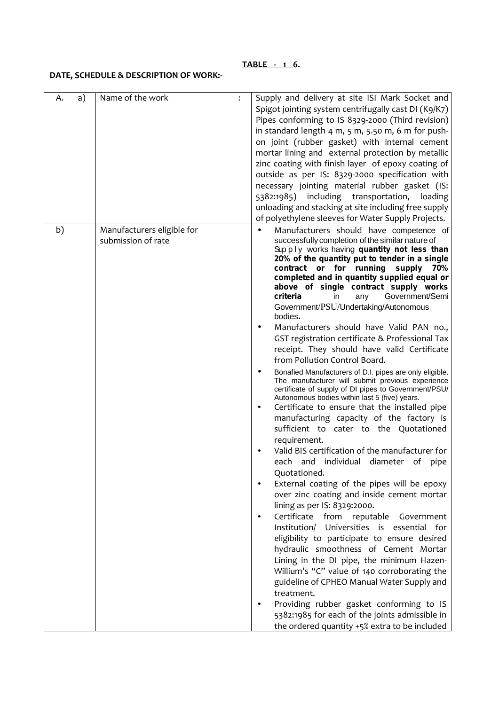#### **TABLE - 1 6.**

## **DATE, SCHEDULE & DESCRIPTION OF WORK:-**

| a)<br>A. | Name of the work                                 | : | Supply and delivery at site ISI Mark Socket and<br>Spigot jointing system centrifugally cast DI (K9/K7)<br>Pipes conforming to IS 8329-2000 (Third revision)<br>in standard length 4 m, 5 m, 5.50 m, 6 m for push-<br>on joint (rubber gasket) with internal cement<br>mortar lining and external protection by metallic<br>zinc coating with finish layer of epoxy coating of<br>outside as per IS: 8329-2000 specification with<br>necessary jointing material rubber gasket (IS:<br>5382:1985) including transportation,<br>loading<br>unloading and stacking at site including free supply<br>of polyethylene sleeves for Water Supply Projects.                                                                                                                                                                                                                                                                                                                                                                                                                                                                                                                                                                                                                                                                                                                                                                                                                                                                                                                                                                                                                                                                               |
|----------|--------------------------------------------------|---|------------------------------------------------------------------------------------------------------------------------------------------------------------------------------------------------------------------------------------------------------------------------------------------------------------------------------------------------------------------------------------------------------------------------------------------------------------------------------------------------------------------------------------------------------------------------------------------------------------------------------------------------------------------------------------------------------------------------------------------------------------------------------------------------------------------------------------------------------------------------------------------------------------------------------------------------------------------------------------------------------------------------------------------------------------------------------------------------------------------------------------------------------------------------------------------------------------------------------------------------------------------------------------------------------------------------------------------------------------------------------------------------------------------------------------------------------------------------------------------------------------------------------------------------------------------------------------------------------------------------------------------------------------------------------------------------------------------------------------|
| b)       | Manufacturers eligible for<br>submission of rate |   | Manufacturers should have competence of<br>successfully completion of the similar nature of<br>Supply works having quantity not less than<br>20% of the quantity put to tender in a single<br>contract or for running supply 70%<br>completed and in quantity supplied equal or<br>above of single contract supply works<br>criteria<br>Government/Semi<br>any<br>in.<br>Government/PSU/Undertaking/Autonomous<br>bodies.<br>J<br>Manufacturers should have Valid PAN no.,<br>GST registration certificate & Professional Tax<br>receipt. They should have valid Certificate<br>from Pollution Control Board.<br>Bonafied Manufacturers of D.I. pipes are only eligible.<br>The manufacturer will submit previous experience<br>certificate of supply of DI pipes to Government/PSU/<br>Autonomous bodies within last 5 (five) years.<br>Certificate to ensure that the installed pipe<br>manufacturing capacity of the factory is<br>sufficient to cater to the Quotationed<br>requirement.<br>Valid BIS certification of the manufacturer for<br>each and individual diameter of pipe<br>Quotationed.<br>External coating of the pipes will be epoxy<br>over zinc coating and inside cement mortar<br>lining as per IS: 8329:2000.<br>Certificate from reputable<br>Government<br>Universities is essential for<br>Institution/<br>eligibility to participate to ensure desired<br>hydraulic smoothness of Cement Mortar<br>Lining in the DI pipe, the minimum Hazen-<br>Willium's "C" value of 140 corroborating the<br>guideline of CPHEO Manual Water Supply and<br>treatment.<br>Providing rubber gasket conforming to IS<br>5382:1985 for each of the joints admissible in<br>the ordered quantity +5% extra to be included |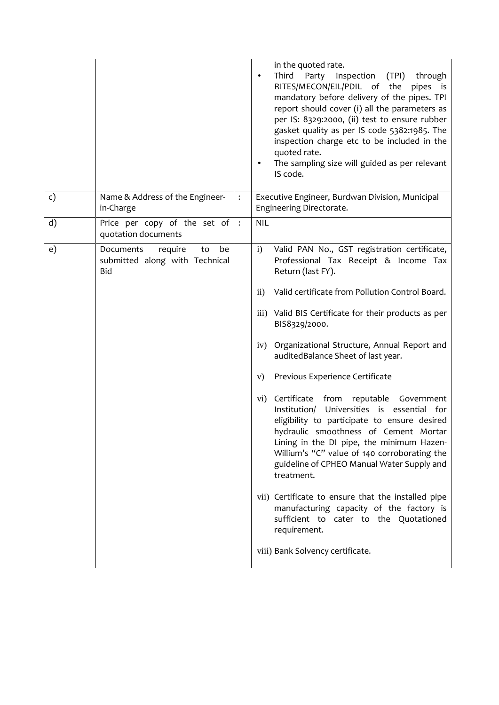|    |                                                                                  |                | in the quoted rate.<br>Inspection<br>Third<br>Party<br>(TPI)<br>through<br>RITES/MECON/EIL/PDIL of the pipes is<br>mandatory before delivery of the pipes. TPI<br>report should cover (i) all the parameters as<br>per IS: 8329:2000, (ii) test to ensure rubber<br>gasket quality as per IS code 5382:1985. The<br>inspection charge etc to be included in the<br>quoted rate.<br>The sampling size will guided as per relevant<br>IS code. |
|----|----------------------------------------------------------------------------------|----------------|----------------------------------------------------------------------------------------------------------------------------------------------------------------------------------------------------------------------------------------------------------------------------------------------------------------------------------------------------------------------------------------------------------------------------------------------|
| c) | Name & Address of the Engineer-<br>in-Charge                                     | $\ddot{\cdot}$ | Executive Engineer, Burdwan Division, Municipal<br>Engineering Directorate.                                                                                                                                                                                                                                                                                                                                                                  |
| d) | Price per copy of the set of<br>quotation documents                              | $\ddot{\cdot}$ | <b>NIL</b>                                                                                                                                                                                                                                                                                                                                                                                                                                   |
| e) | Documents<br>require<br>be<br>to<br>submitted along with Technical<br><b>Bid</b> |                | Valid PAN No., GST registration certificate,<br>$\mathbf{i}$<br>Professional Tax Receipt & Income Tax<br>Return (last FY).                                                                                                                                                                                                                                                                                                                   |
|    |                                                                                  |                | Valid certificate from Pollution Control Board.<br>$\rm ii)$                                                                                                                                                                                                                                                                                                                                                                                 |
|    |                                                                                  |                | iii) Valid BIS Certificate for their products as per<br>BIS8329/2000.                                                                                                                                                                                                                                                                                                                                                                        |
|    |                                                                                  |                | Organizational Structure, Annual Report and<br>iv)<br>auditedBalance Sheet of last year.                                                                                                                                                                                                                                                                                                                                                     |
|    |                                                                                  |                | Previous Experience Certificate<br>V)                                                                                                                                                                                                                                                                                                                                                                                                        |
|    |                                                                                  |                | vi) Certificate from reputable Government<br>Universities is essential for<br>Institution/<br>eligibility to participate to ensure desired<br>hydraulic smoothness of Cement Mortar<br>Lining in the DI pipe, the minimum Hazen-<br>Willium's "C" value of 140 corroborating the<br>guideline of CPHEO Manual Water Supply and<br>treatment.                                                                                                 |
|    |                                                                                  |                | vii) Certificate to ensure that the installed pipe<br>manufacturing capacity of the factory is<br>sufficient to cater to the Quotationed<br>requirement.                                                                                                                                                                                                                                                                                     |
|    |                                                                                  |                | viii) Bank Solvency certificate.                                                                                                                                                                                                                                                                                                                                                                                                             |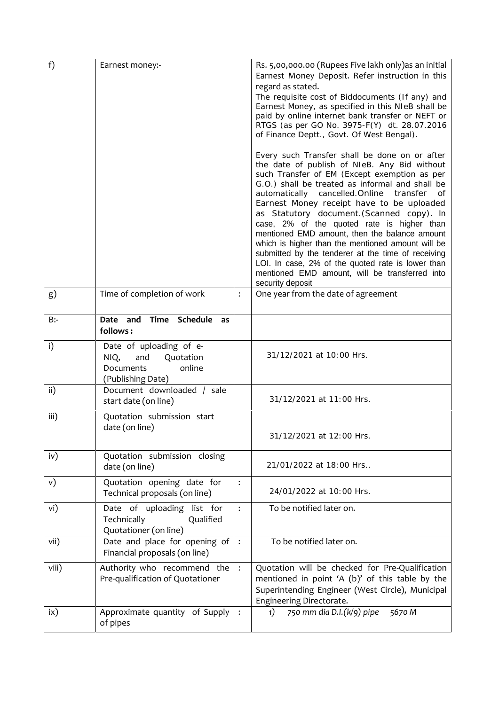| f)         | Earnest money:-                                                                                 |                      | Rs. 5,00,000.00 (Rupees Five lakh only) as an initial<br>Earnest Money Deposit. Refer instruction in this<br>regard as stated.<br>The requisite cost of Biddocuments (If any) and<br>Earnest Money, as specified in this NIeB shall be<br>paid by online internet bank transfer or NEFT or<br>RTGS (as per GO No. 3975-F(Y) dt. 28.07.2016<br>of Finance Deptt., Govt. Of West Bengal).                                                                                                                                                                                                                                                                                              |
|------------|-------------------------------------------------------------------------------------------------|----------------------|--------------------------------------------------------------------------------------------------------------------------------------------------------------------------------------------------------------------------------------------------------------------------------------------------------------------------------------------------------------------------------------------------------------------------------------------------------------------------------------------------------------------------------------------------------------------------------------------------------------------------------------------------------------------------------------|
|            |                                                                                                 |                      | Every such Transfer shall be done on or after<br>the date of publish of NIeB. Any Bid without<br>such Transfer of EM (Except exemption as per<br>G.O.) shall be treated as informal and shall be<br>automatically cancelled. Online<br>transfer<br>of<br>Earnest Money receipt have to be uploaded<br>as Statutory document. (Scanned copy). In<br>case, 2% of the quoted rate is higher than<br>mentioned EMD amount, then the balance amount<br>which is higher than the mentioned amount will be<br>submitted by the tenderer at the time of receiving<br>LOI. In case, 2% of the quoted rate is lower than<br>mentioned EMD amount, will be transferred into<br>security deposit |
| g)         | Time of completion of work                                                                      | $\ddot{\phantom{a}}$ | One year from the date of agreement                                                                                                                                                                                                                                                                                                                                                                                                                                                                                                                                                                                                                                                  |
| $B$ :-     | Date and<br>Time<br>Schedule as<br>follows:                                                     |                      |                                                                                                                                                                                                                                                                                                                                                                                                                                                                                                                                                                                                                                                                                      |
| i)         | Date of uploading of e-<br>Quotation<br>NIQ,<br>and<br>online<br>Documents<br>(Publishing Date) |                      | 31/12/2021 at 10:00 Hrs.                                                                                                                                                                                                                                                                                                                                                                                                                                                                                                                                                                                                                                                             |
| ii)        | Document downloaded / sale<br>start date (on line)                                              |                      | 31/12/2021 at 11:00 Hrs.                                                                                                                                                                                                                                                                                                                                                                                                                                                                                                                                                                                                                                                             |
| iii)       | Quotation submission start<br>date (on line)                                                    |                      | 31/12/2021 at 12:00 Hrs.                                                                                                                                                                                                                                                                                                                                                                                                                                                                                                                                                                                                                                                             |
| iv)        | Quotation submission closing<br>date (on line)                                                  |                      | 21/01/2022 at 18:00 Hrs                                                                                                                                                                                                                                                                                                                                                                                                                                                                                                                                                                                                                                                              |
| v)         | Quotation opening date for<br>Technical proposals (on line)                                     | $\vdots$             | 24/01/2022 at 10:00 Hrs.                                                                                                                                                                                                                                                                                                                                                                                                                                                                                                                                                                                                                                                             |
| vi)        | Date of uploading list for<br>Technically<br>Qualified<br>Quotationer (on line)                 | $\ddot{\cdot}$       | To be notified later on.                                                                                                                                                                                                                                                                                                                                                                                                                                                                                                                                                                                                                                                             |
| vii)       | Date and place for opening of<br>Financial proposals (on line)                                  | $\ddot{\cdot}$       | To be notified later on.                                                                                                                                                                                                                                                                                                                                                                                                                                                                                                                                                                                                                                                             |
| viii)      | Authority who recommend the<br>Pre-qualification of Quotationer                                 | $\ddot{\cdot}$       | Quotation will be checked for Pre-Qualification<br>mentioned in point 'A (b)' of this table by the<br>Superintending Engineer (West Circle), Municipal<br>Engineering Directorate.                                                                                                                                                                                                                                                                                                                                                                                                                                                                                                   |
| $i \times$ | Approximate quantity of Supply<br>of pipes                                                      | $\ddot{\cdot}$       | 750 mm dia D.I.(k/9) pipe<br>1)<br>5670M                                                                                                                                                                                                                                                                                                                                                                                                                                                                                                                                                                                                                                             |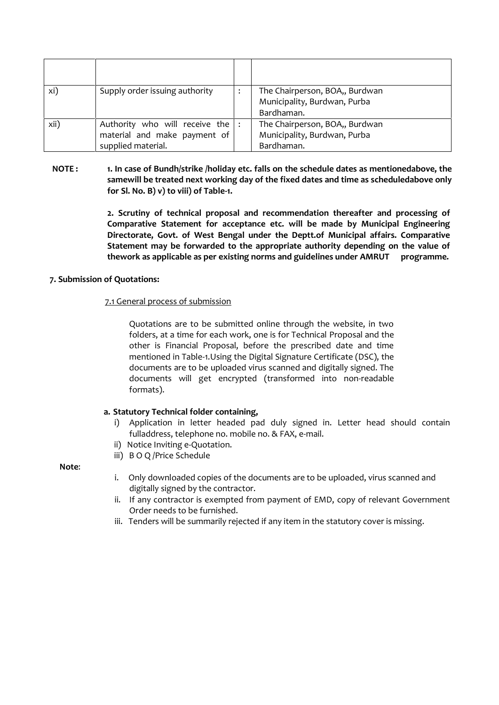| xi)  | Supply order issuing authority                                                            | The Chairperson, BOA,, Burdwan<br>Municipality, Burdwan, Purba<br>Bardhaman. |
|------|-------------------------------------------------------------------------------------------|------------------------------------------------------------------------------|
| xii) | Authority who will receive the $ :$<br>material and make payment of<br>supplied material. | The Chairperson, BOA,, Burdwan<br>Municipality, Burdwan, Purba<br>Bardhaman. |

#### **NOTE : 1. In case of Bundh/strike /holiday etc. falls on the schedule dates as mentionedabove, the samewill be treated next working day of the fixed dates and time as scheduledabove only for Sl. No. B) v) to viii) of Table-1.**

**2. Scrutiny of technical proposal and recommendation thereafter and processing of Comparative Statement for acceptance etc. will be made by Municipal Engineering Directorate, Govt. of West Bengal under the Deptt.of Municipal affairs. Comparative Statement may be forwarded to the appropriate authority depending on the value of thework as applicable as per existing norms and guidelines under AMRUT programme.**

#### **7. Submission of Quotations:**

#### 7.1 General process of submission

Quotations are to be submitted online through the website, in two folders, at a time for each work, one is for Technical Proposal and the other is Financial Proposal, before the prescribed date and time mentioned in Table-1.Using the Digital Signature Certificate (DSC), the documents are to be uploaded virus scanned and digitally signed. The documents will get encrypted (transformed into non-readable formats).

## **a. Statutory Technical folder containing,**

- i) Application in letter headed pad duly signed in. Letter head should contain fulladdress, telephone no. mobile no. & FAX, e-mail.
- ii) Notice Inviting e-Quotation.
- iii) B O Q /Price Schedule

**Note**:

- i. Only downloaded copies of the documents are to be uploaded, virus scanned and digitally signed by the contractor.
- ii. If any contractor is exempted from payment of EMD, copy of relevant Government Order needs to be furnished.
- iii. Tenders will be summarily rejected if any item in the statutory cover is missing.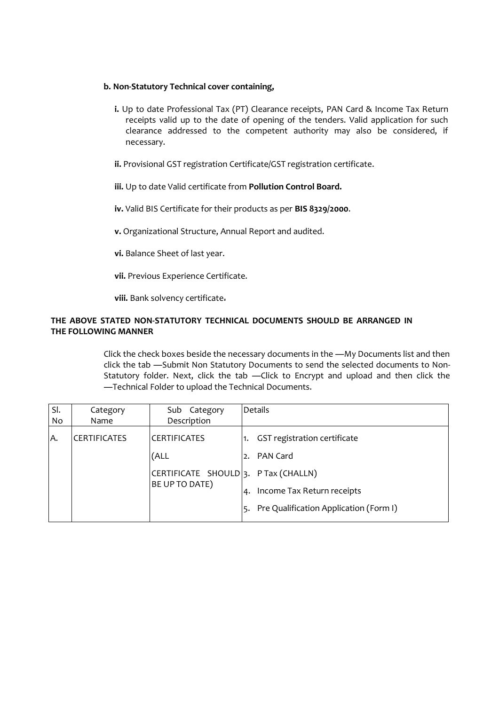#### **b. Non-Statutory Technical cover containing,**

- **i.** Up to date Professional Tax (PT) Clearance receipts, PAN Card & Income Tax Return receipts valid up to the date of opening of the tenders. Valid application for such clearance addressed to the competent authority may also be considered, if necessary.
- **ii.** Provisional GST registration Certificate/GST registration certificate.
- **iii.** Up to date Valid certificate from **Pollution Control Board.**
- **iv.** Valid BIS Certificate for their products as per **BIS 8329/2000**.
- **v.** Organizational Structure, Annual Report and audited.
- **vi.** Balance Sheet of last year.
- **vii.** Previous Experience Certificate.

**viii.** Bank solvency certificate.

#### **THE ABOVE STATED NON-STATUTORY TECHNICAL DOCUMENTS SHOULD BE ARRANGED IN THE FOLLOWING MANNER**

Click the check boxes beside the necessary documents in the ―My Documents list and then click the tab ―Submit Non Statutory Documents to send the selected documents to Non- Statutory folder. Next, click the tab ―Click to Encrypt and upload and then click the ―Technical Folder to upload the Technical Documents.

| SI. | Category                                               | Sub Category                     | Details                                |  |
|-----|--------------------------------------------------------|----------------------------------|----------------------------------------|--|
| No  | Name                                                   | Description                      |                                        |  |
| A.  | <b>CERTIFICATES</b>                                    | <b>CERTIFICATES</b>              | GST registration certificate           |  |
|     |                                                        | (ALL                             | PAN Card<br>2.                         |  |
|     | CERTIFICATE SHOULD 3. P Tax (CHALLN)<br>BE UP TO DATE) |                                  |                                        |  |
|     |                                                        | Income Tax Return receipts<br>4. |                                        |  |
|     |                                                        |                                  | Pre Qualification Application (Form I) |  |
|     |                                                        |                                  |                                        |  |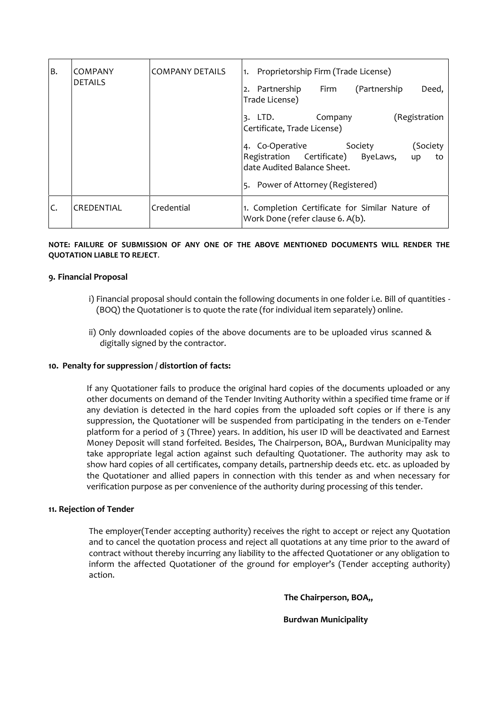| IB. | <b>COMPANY</b><br><b>DETAILS</b> | <b>COMPANY DETAILS</b> | Proprietorship Firm (Trade License)<br>$\overline{1}$ .                                                                                                      |  |  |  |  |
|-----|----------------------------------|------------------------|--------------------------------------------------------------------------------------------------------------------------------------------------------------|--|--|--|--|
|     |                                  |                        | (Partnership<br>2. Partnership<br>Firm<br>Deed,<br>Trade License)                                                                                            |  |  |  |  |
|     |                                  |                        | (Registration<br>Company<br>LTD.<br>з.<br>Certificate, Trade License)                                                                                        |  |  |  |  |
|     |                                  |                        | (Society<br>4. Co-Operative<br>Society<br>Registration Certificate)<br>ByeLaws,<br>to<br>up<br>date Audited Balance Sheet.<br>Power of Attorney (Registered) |  |  |  |  |
| C.  | lCREDENTIAL                      | Credential             | 1. Completion Certificate for Similar Nature of<br>Work Done (refer clause 6. A(b).                                                                          |  |  |  |  |

#### **NOTE: FAILURE OF SUBMISSION OF ANY ONE OF THE ABOVE MENTIONED DOCUMENTS WILL RENDER THE QUOTATION LIABLE TO REJECT**.

#### **9. Financial Proposal**

- i) Financial proposal should contain the following documents in one folder i.e. Bill of quantities (BOQ) the Quotationer is to quote the rate (for individual item separately) online.
- ii) Only downloaded copies of the above documents are to be uploaded virus scanned & digitally signed by the contractor.

#### **10. Penalty for suppression / distortion of facts:**

If any Quotationer fails to produce the original hard copies of the documents uploaded or any other documents on demand of the Tender Inviting Authority within a specified time frame or if any deviation is detected in the hard copies from the uploaded soft copies or if there is any suppression, the Quotationer will be suspended from participating in the tenders on e-Tender platform for a period of 3 (Three) years. In addition, his user ID will be deactivated and Earnest Money Deposit will stand forfeited. Besides, The Chairperson, BOA,, Burdwan Municipality may take appropriate legal action against such defaulting Quotationer. The authority may ask to show hard copies of all certificates, company details, partnership deeds etc. etc. as uploaded by the Quotationer and allied papers in connection with this tender as and when necessary for verification purpose as per convenience of the authority during processing of this tender.

#### **11. Rejection of Tender**

The employer(Tender accepting authority) receives the right to accept or reject any Quotation and to cancel the quotation process and reject all quotations at any time prior to the award of contract without thereby incurring any liability to the affected Quotationer or any obligation to inform the affected Quotationer of the ground for employer's (Tender accepting authority) action.

**The Chairperson, BOA,,**

**Burdwan Municipality**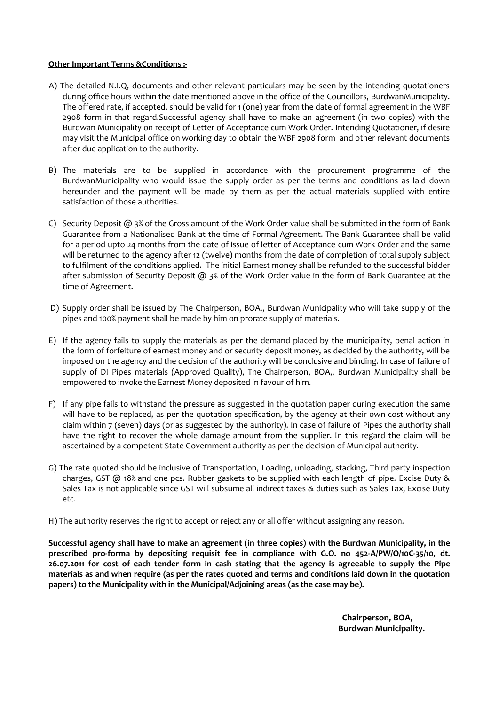#### **Other Important Terms &Conditions :-**

- A) The detailed N.I.Q, documents and other relevant particulars may be seen by the intending quotationers during office hours within the date mentioned above in the office of the Councillors, BurdwanMunicipality. The offered rate, if accepted, should be valid for 1 (one) year from the date of formal agreement in the WBF 2908 form in that regard.Successful agency shall have to make an agreement (in two copies) with the Burdwan Municipality on receipt of Letter of Acceptance cum Work Order. Intending Quotationer, if desire may visit the Municipal office on working day to obtain the WBF 2908 form and other relevant documents after due application to the authority.
- B) The materials are to be supplied in accordance with the procurement programme of the BurdwanMunicipality who would issue the supply order as per the terms and conditions as laid down hereunder and the payment will be made by them as per the actual materials supplied with entire satisfaction of those authorities.
- C) Security Deposit @ 3% of the Gross amount of the Work Order value shall be submitted in the form of Bank Guarantee from a Nationalised Bank at the time of Formal Agreement. The Bank Guarantee shall be valid for a period upto 24 months from the date of issue of letter of Acceptance cum Work Order and the same will be returned to the agency after 12 (twelve) months from the date of completion of total supply subject to fulfilment of the conditions applied. The initial Earnest money shall be refunded to the successful bidder after submission of Security Deposit  $(2)$  3% of the Work Order value in the form of Bank Guarantee at the time of Agreement.
- D) Supply order shall be issued by The Chairperson, BOA,, Burdwan Municipality who will take supply of the pipes and 100% payment shall be made by him on prorate supply of materials.
- E) If the agency fails to supply the materials as per the demand placed by the municipality, penal action in the form of forfeiture of earnest money and or security deposit money, as decided by the authority, will be imposed on the agency and the decision of the authority will be conclusive and binding. In case of failure of supply of DI Pipes materials (Approved Quality), The Chairperson, BOA,, Burdwan Municipality shall be empowered to invoke the Earnest Money deposited in favour of him.
- F) If any pipe fails to withstand the pressure as suggested in the quotation paper during execution the same will have to be replaced, as per the quotation specification, by the agency at their own cost without any claim within 7 (seven) days (or as suggested by the authority). In case of failure of Pipes the authority shall have the right to recover the whole damage amount from the supplier. In this regard the claim will be ascertained by a competent State Government authority as per the decision of Municipal authority.
- G) The rate quoted should be inclusive of Transportation, Loading, unloading, stacking, Third party inspection charges, GST @ 18% and one pcs. Rubber gaskets to be supplied with each length of pipe. Excise Duty & Sales Tax is not applicable since GST will subsume all indirect taxes & duties such as Sales Tax, Excise Duty etc.
- H) The authority reserves the right to accept or reject any or all offer without assigning any reason.

**Successful agency shall have to make an agreement (in three copies) with the Burdwan Municipality, in the prescribed pro-forma by depositing requisit fee in compliance with G.O. no 452-A/PW/O/10C-35/10, dt. 26.07.2011 for cost of each tender form in cash stating that the agency is agreeable to supply the Pipe materials as and when require (as per the rates quoted and terms and conditions laid down in the quotation papers) to the Municipality with in the Municipal/Adjoining areas (as the case may be).**

> **Chairperson, BOA, Burdwan Municipality.**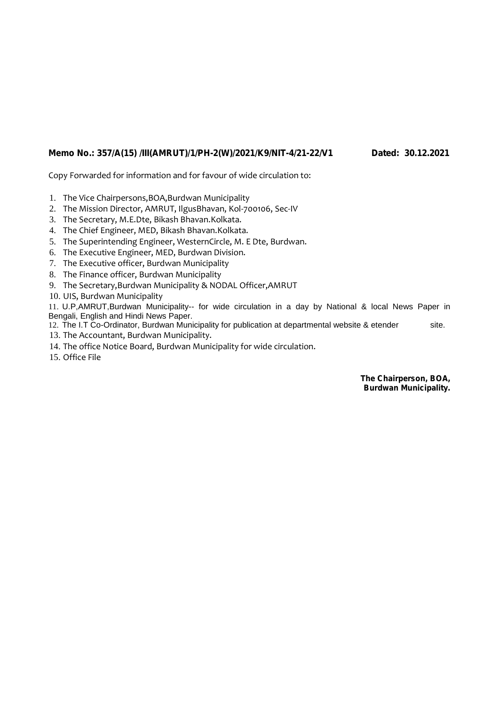## **Memo No.: 357/A(15) /III(AMRUT)/1/PH-2(W)/2021/K9/NIT-4/21-22/V1 Dated: 30.12.2021**

Copy Forwarded for information and for favour of wide circulation to:

- 1. The Vice Chairpersons,BOA,Burdwan Municipality
- 2. The Mission Director, AMRUT, IlgusBhavan, Kol-700106, Sec-IV
- 3. The Secretary, M.E.Dte, Bikash Bhavan.Kolkata.
- 4. The Chief Engineer, MED, Bikash Bhavan.Kolkata.
- 5. The Superintending Engineer, WesternCircle, M. E Dte, Burdwan.
- 6. The Executive Engineer, MED, Burdwan Division.
- 7. The Executive officer, Burdwan Municipality
- 8. The Finance officer, Burdwan Municipality
- 9. The Secretary,Burdwan Municipality & NODAL Officer,AMRUT
- 10. UIS, Burdwan Municipality

11. U.P,AMRUT,Burdwan Municipality-- for wide circulation in a day by National & local News Paper in Bengali, English and Hindi News Paper.

12. The I.T Co-Ordinator, Burdwan Municipality for publication at departmental website & etender site. 13. The Accountant, Burdwan Municipality.

- 
- 14. The office Notice Board, Burdwan Municipality for wide circulation.
- 15. Office File

**The Chairperson, BOA, Burdwan Municipality.**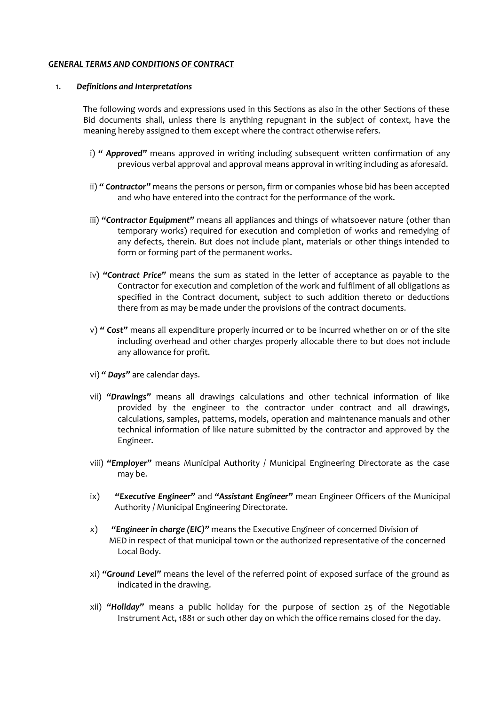#### *GENERAL TERMS AND CONDITIONS OF CONTRACT*

#### 1. *Definitions and Interpretations*

The following words and expressions used in this Sections as also in the other Sections of these Bid documents shall, unless there is anything repugnant in the subject of context, have the meaning hereby assigned to them except where the contract otherwise refers.

- i) *" Approved"* means approved in writing including subsequent written confirmation of any previous verbal approval and approval means approval in writing including as aforesaid.
- ii) *" Contractor"* means the persons or person, firm or companies whose bid has been accepted and who have entered into the contract for the performance of the work.
- iii) *"Contractor Equipment"* means all appliances and things of whatsoever nature (other than temporary works) required for execution and completion of works and remedying of any defects, therein. But does not include plant, materials or other things intended to form or forming part of the permanent works.
- iv) *"Contract Price"* means the sum as stated in the letter of acceptance as payable to the Contractor for execution and completion of the work and fulfilment of all obligations as specified in the Contract document, subject to such addition thereto or deductions there from as may be made under the provisions of the contract documents.
- v) *" Cost"* means all expenditure properly incurred or to be incurred whether on or of the site including overhead and other charges properly allocable there to but does not include any allowance for profit.
- vi) *" Days"* are calendar days.
- vii) *"Drawings"* means all drawings calculations and other technical information of like provided by the engineer to the contractor under contract and all drawings, calculations, samples, patterns, models, operation and maintenance manuals and other technical information of like nature submitted by the contractor and approved by the Engineer.
- viii) *"Employer"* means Municipal Authority / Municipal Engineering Directorate as the case may be.
- ix) *"Executive Engineer"* and *"Assistant Engineer"* mean Engineer Officers of the Municipal Authority / Municipal Engineering Directorate.
- x) *"Engineer in charge (EIC)"* means the Executive Engineer of concerned Division of MED in respect of that municipal town or the authorized representative of the concerned Local Body.
- xi) *"Ground Level"* means the level of the referred point of exposed surface of the ground as indicated in the drawing.
- xii) *"Holiday"* means a public holiday for the purpose of section 25 of the Negotiable Instrument Act, 1881 or such other day on which the office remains closed for the day.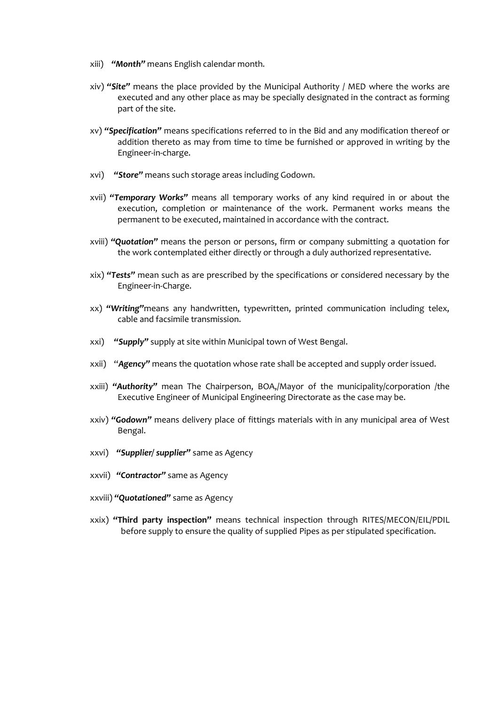- xiii) *"Month"* means English calendar month.
- xiv) *"Site"* means the place provided by the Municipal Authority / MED where the works are executed and any other place as may be specially designated in the contract as forming part of the site.
- xv) *"Specification"* means specifications referred to in the Bid and any modification thereof or addition thereto as may from time to time be furnished or approved in writing by the Engineer-in-charge.
- xvi) *"Store"* means such storage areas including Godown.
- xvii) *"Temporary Works"* means all temporary works of any kind required in or about the execution, completion or maintenance of the work. Permanent works means the permanent to be executed, maintained in accordance with the contract.
- xviii) *"Quotation"* means the person or persons, firm or company submitting a quotation for the work contemplated either directly or through a duly authorized representative.
- xix) *"Tests"* mean such as are prescribed by the specifications or considered necessary by the Engineer-in-Charge.
- xx) *"Writing"*means any handwritten, typewritten, printed communication including telex, cable and facsimile transmission.
- xxi) *"Supply"* supply at site within Municipal town of West Bengal.
- xxii) "*Agency"* means the quotation whose rate shall be accepted and supply order issued.
- xxiii) *"Authority"* mean The Chairperson, BOA,/Mayor of the municipality/corporation /the Executive Engineer of Municipal Engineering Directorate as the case may be.
- xxiv) *"Godown"* means delivery place of fittings materials with in any municipal area of West Bengal.
- xxvi) *"Supplier/ supplier"* same as Agency
- xxvii) *"Contractor"* same as Agency
- xxviii) *"Quotationed"* same as Agency
- xxix) **"Third party inspection"** means technical inspection through RITES/MECON/EIL/PDIL before supply to ensure the quality of supplied Pipes as per stipulated specification.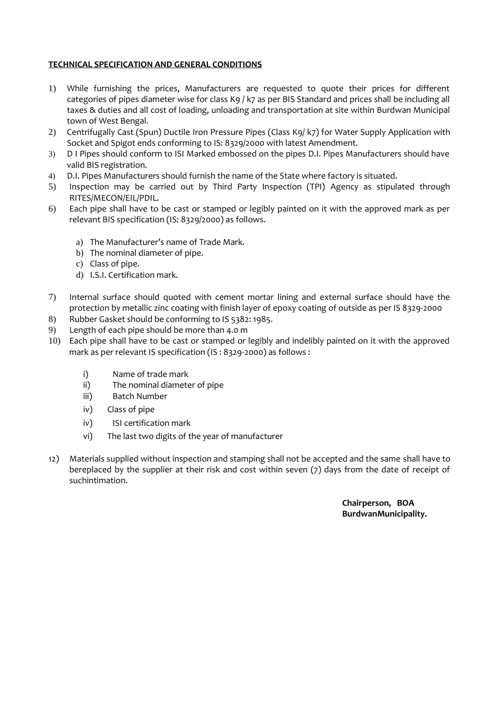## **TECHNICAL SPECIFICATION AND GENERAL CONDITIONS**

- 1) While furnishing the prices, Manufacturers are requested to quote their prices for different categories of pipes diameter wise for class K9 / k7 as per BIS Standard and prices shall be including all taxes & duties and all cost of loading, unloading and transportation at site within Burdwan Municipal town of West Bengal.
- 2) Centrifugally Cast (Spun) Ductile Iron Pressure Pipes (Class K9/ k7) for Water Supply Application with Socket and Spigot ends conforming to IS: 8329/2000 with latest Amendment.
- 3) D I Pipes should conform to ISI Marked embossed on the pipes D.I. Pipes Manufacturers should have valid BIS registration.
- 4) D.I. Pipes Manufacturers should furnish the name of the State where factory is situated.
- 5) Inspection may be carried out by Third Party Inspection (TPI) Agency as stipulated through RITES/MECON/EIL/PDIL.
- 6) Each pipe shall have to be cast or stamped or legibly painted on it with the approved mark as per relevant BIS specification (IS: 8329/2000) as follows.
	- a) The Manufacturer's name of Trade Mark.
	- b) The nominal diameter of pipe.
	- c) Class of pipe.
	- d) I.S.I. Certification mark.
- 7) Internal surface should quoted with cement mortar lining and external surface should have the protection by metallic zinc coating with finish layer of epoxy coating of outside as per IS 8329-2000
- 8) Rubber Gasket should be conforming to IS 5382: 1985.
- 9) Length of each pipe should be more than 4.0 m
- 10) Each pipe shall have to be cast or stamped or legibly and indelibly painted on it with the approved mark as per relevant IS specification (IS : 8329-2000) as follows :
	- i) Name of trade mark
	- ii) The nominal diameter of pipe
	- iii) Batch Number
	- iv) Class of pipe
	- iv) ISI certification mark
	- vi) The last two digits of the year of manufacturer
- 12) Materials supplied without inspection and stamping shall not be accepted and the same shall have to bereplaced by the supplier at their risk and cost within seven (7) days from the date of receipt of suchintimation.

**Chairperson, BOA BurdwanMunicipality.**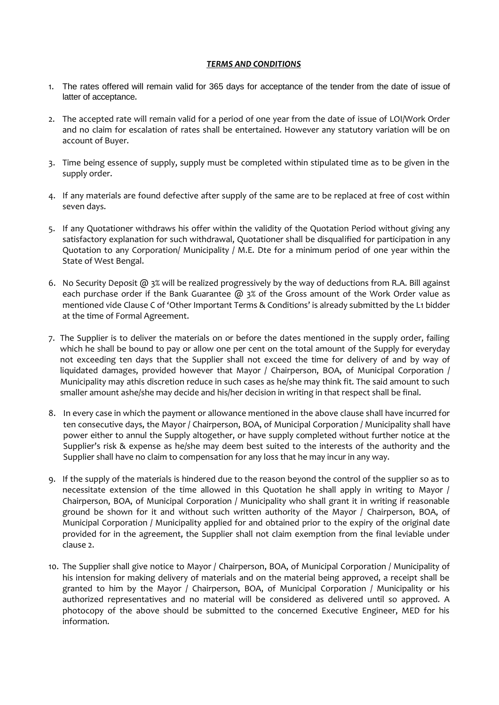#### *TERMS AND CONDITIONS*

- 1. The rates offered will remain valid for 365 days for acceptance of the tender from the date of issue of latter of acceptance.
- 2. The accepted rate will remain valid for a period of one year from the date of issue of LOI/Work Order and no claim for escalation of rates shall be entertained. However any statutory variation will be on account of Buyer.
- 3. Time being essence of supply, supply must be completed within stipulated time as to be given in the supply order.
- 4. If any materials are found defective after supply of the same are to be replaced at free of cost within seven days.
- 5. If any Quotationer withdraws his offer within the validity of the Quotation Period without giving any satisfactory explanation for such withdrawal, Quotationer shall be disqualified for participation in any Quotation to any Corporation/ Municipality / M.E. Dte for a minimum period of one year within the State of West Bengal.
- 6. No Security Deposit  $\omega$  3% will be realized progressively by the way of deductions from R.A. Bill against each purchase order if the Bank Guarantee  $\omega$  3% of the Gross amount of the Work Order value as mentioned vide Clause C of 'Other Important Terms & Conditions' is already submitted by the L1 bidder at the time of Formal Agreement.
- 7. The Supplier is to deliver the materials on or before the dates mentioned in the supply order, failing which he shall be bound to pay or allow one per cent on the total amount of the Supply for everyday not exceeding ten days that the Supplier shall not exceed the time for delivery of and by way of liquidated damages, provided however that Mayor / Chairperson, BOA, of Municipal Corporation / Municipality may athis discretion reduce in such cases as he/she may think fit. The said amount to such smaller amount ashe/she may decide and his/her decision in writing in that respect shall be final.
- 8. In every case in which the payment or allowance mentioned in the above clause shall have incurred for ten consecutive days, the Mayor / Chairperson, BOA, of Municipal Corporation / Municipality shall have power either to annul the Supply altogether, or have supply completed without further notice at the Supplier's risk & expense as he/she may deem best suited to the interests of the authority and the Supplier shall have no claim to compensation for any loss that he may incur in any way.
- 9. If the supply of the materials is hindered due to the reason beyond the control of the supplier so as to necessitate extension of the time allowed in this Quotation he shall apply in writing to Mayor / Chairperson, BOA, of Municipal Corporation / Municipality who shall grant it in writing if reasonable ground be shown for it and without such written authority of the Mayor / Chairperson, BOA, of Municipal Corporation / Municipality applied for and obtained prior to the expiry of the original date provided for in the agreement, the Supplier shall not claim exemption from the final leviable under clause 2.
- 10. The Supplier shall give notice to Mayor / Chairperson, BOA, of Municipal Corporation / Municipality of his intension for making delivery of materials and on the material being approved, a receipt shall be granted to him by the Mayor / Chairperson, BOA, of Municipal Corporation / Municipality or his authorized representatives and no material will be considered as delivered until so approved. A photocopy of the above should be submitted to the concerned Executive Engineer, MED for his information.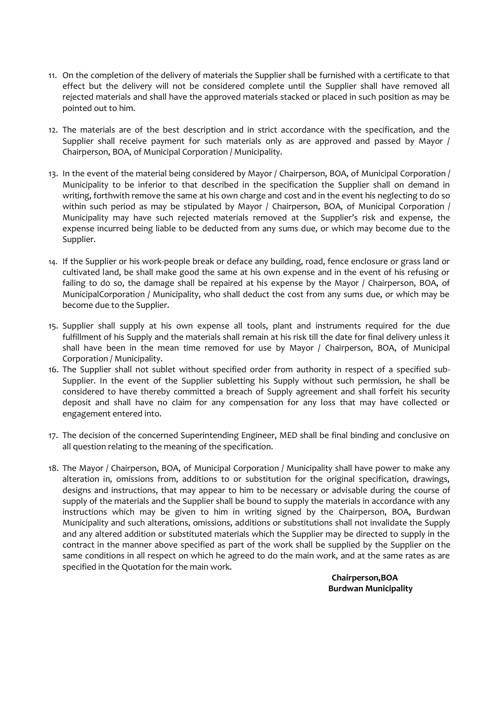- 11. On the completion of the delivery of materials the Supplier shall be furnished with a certificate to that effect but the delivery will not be considered complete until the Supplier shall have removed all rejected materials and shall have the approved materials stacked or placed in such position as may be pointed out to him.
- 12. The materials are of the best description and in strict accordance with the specification, and the Supplier shall receive payment for such materials only as are approved and passed by Mayor / Chairperson, BOA, of Municipal Corporation / Municipality.
- 13. In the event of the material being considered by Mayor / Chairperson, BOA, of Municipal Corporation / Municipality to be inferior to that described in the specification the Supplier shall on demand in writing, forthwith remove the same at his own charge and cost and in the event his neglecting to do so within such period as may be stipulated by Mayor / Chairperson, BOA, of Municipal Corporation / Municipality may have such rejected materials removed at the Supplier's risk and expense, the expense incurred being liable to be deducted from any sums due, or which may become due to the Supplier.
- 14. If the Supplier or his work-people break or deface any building, road, fence enclosure or grass land or cultivated land, be shall make good the same at his own expense and in the event of his refusing or failing to do so, the damage shall be repaired at his expense by the Mayor / Chairperson, BOA, of MunicipalCorporation / Municipality, who shall deduct the cost from any sums due, or which may be become due to the Supplier.
- 15. Supplier shall supply at his own expense all tools, plant and instruments required for the due fulfillment of his Supply and the materials shall remain at his risk till the date for final delivery unless it shall have been in the mean time removed for use by Mayor / Chairperson, BOA, of Municipal Corporation / Municipality.
- 16. The Supplier shall not sublet without specified order from authority in respect of a specified sub- Supplier. In the event of the Supplier subletting his Supply without such permission, he shall be considered to have thereby committed a breach of Supply agreement and shall forfeit his security deposit and shall have no claim for any compensation for any loss that may have collected or engagement entered into.
- 17. The decision of the concerned Superintending Engineer, MED shall be final binding and conclusive on all question relating to the meaning of the specification.
- 18. The Mayor / Chairperson, BOA, of Municipal Corporation / Municipality shall have power to make any alteration in, omissions from, additions to or substitution for the original specification, drawings, designs and instructions, that may appear to him to be necessary or advisable during the course of supply of the materials and the Supplier shall be bound to supply the materials in accordance with any instructions which may be given to him in writing signed by the Chairperson, BOA, Burdwan Municipality and such alterations, omissions, additions or substitutions shall not invalidate the Supply and any altered addition or substituted materials which the Supplier may be directed to supply in the contract in the manner above specified as part of the work shall be supplied by the Supplier on the same conditions in all respect on which he agreed to do the main work, and at the same rates as are specified in the Quotation for the main work.

**Chairperson,BOA Burdwan Municipality**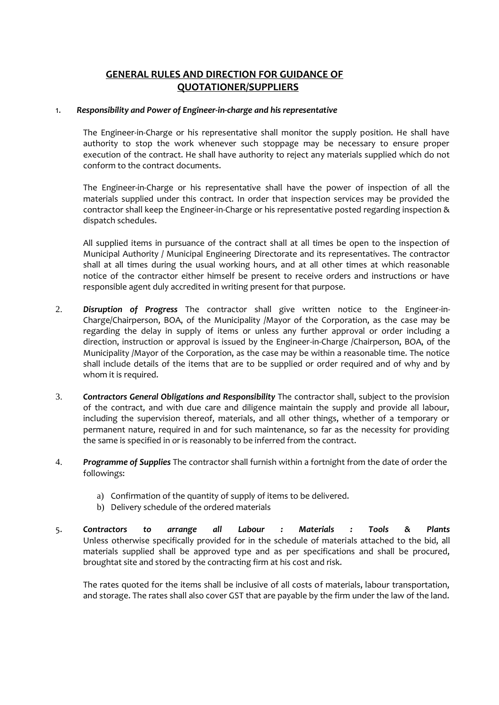## **GENERAL RULES AND DIRECTION FOR GUIDANCE OF QUOTATIONER/SUPPLIERS**

#### 1. *Responsibility and Power of Engineer-in-charge and his representative*

The Engineer-in-Charge or his representative shall monitor the supply position. He shall have authority to stop the work whenever such stoppage may be necessary to ensure proper execution of the contract. He shall have authority to reject any materials supplied which do not conform to the contract documents.

The Engineer-in-Charge or his representative shall have the power of inspection of all the materials supplied under this contract. In order that inspection services may be provided the contractor shall keep the Engineer-in-Charge or his representative posted regarding inspection & dispatch schedules.

All supplied items in pursuance of the contract shall at all times be open to the inspection of Municipal Authority / Municipal Engineering Directorate and its representatives. The contractor shall at all times during the usual working hours, and at all other times at which reasonable notice of the contractor either himself be present to receive orders and instructions or have responsible agent duly accredited in writing present for that purpose.

- 2. *Disruption of Progress* The contractor shall give written notice to the Engineer-in- Charge/Chairperson, BOA, of the Municipality /Mayor of the Corporation, as the case may be regarding the delay in supply of items or unless any further approval or order including a direction, instruction or approval is issued by the Engineer-in-Charge /Chairperson, BOA, of the Municipality /Mayor of the Corporation, as the case may be within a reasonable time. The notice shall include details of the items that are to be supplied or order required and of why and by whom it is required.
- 3. *Contractors General Obligations and Responsibility* The contractor shall, subject to the provision of the contract, and with due care and diligence maintain the supply and provide all labour, including the supervision thereof, materials, and all other things, whether of a temporary or permanent nature, required in and for such maintenance, so far as the necessity for providing the same is specified in or is reasonably to be inferred from the contract.
- 4. *Programme of Supplies* The contractor shall furnish within a fortnight from the date of order the followings:
	- a) Confirmation of the quantity of supply of items to be delivered.
	- b) Delivery schedule of the ordered materials
- 5. *Contractors to arrange all Labour : Materials : Tools & Plants* Unless otherwise specifically provided for in the schedule of materials attached to the bid, all materials supplied shall be approved type and as per specifications and shall be procured, broughtat site and stored by the contracting firm at his cost and risk.

The rates quoted for the items shall be inclusive of all costs of materials, labour transportation, and storage. The rates shall also cover GST that are payable by the firm under the law of the land.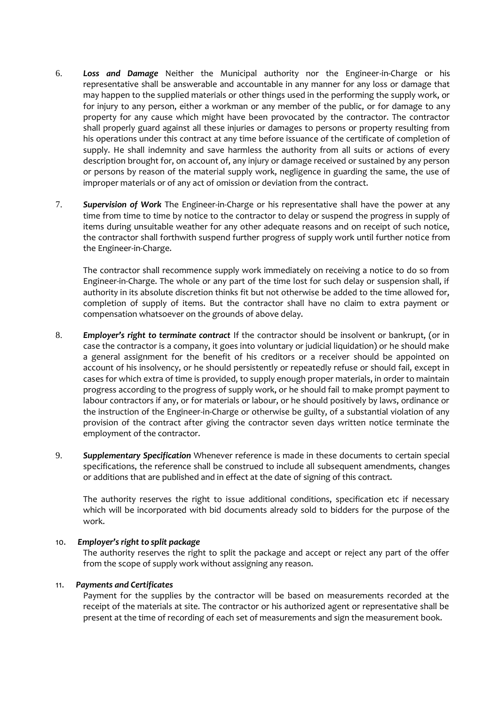- 6. *Loss and Damage* Neither the Municipal authority nor the Engineer-in-Charge or his representative shall be answerable and accountable in any manner for any loss or damage that may happen to the supplied materials or other things used in the performing the supply work, or for injury to any person, either a workman or any member of the public, or for damage to any property for any cause which might have been provocated by the contractor. The contractor shall properly guard against all these injuries or damages to persons or property resulting from his operations under this contract at any time before issuance of the certificate of completion of supply. He shall indemnity and save harmless the authority from all suits or actions of every description brought for, on account of, any injury or damage received or sustained by any person or persons by reason of the material supply work, negligence in guarding the same, the use of improper materials or of any act of omission or deviation from the contract.
- 7. *Supervision of Work* The Engineer-in-Charge or his representative shall have the power at any time from time to time by notice to the contractor to delay or suspend the progress in supply of items during unsuitable weather for any other adequate reasons and on receipt of such notice, the contractor shall forthwith suspend further progress of supply work until further notice from the Engineer-in-Charge.

The contractor shall recommence supply work immediately on receiving a notice to do so from Engineer-in-Charge. The whole or any part of the time lost for such delay or suspension shall, if authority in its absolute discretion thinks fit but not otherwise be added to the time allowed for, completion of supply of items. But the contractor shall have no claim to extra payment or compensation whatsoever on the grounds of above delay.

- 8. *Employer's right to terminate contract* If the contractor should be insolvent or bankrupt, (or in case the contractor is a company, it goes into voluntary or judicial liquidation) or he should make a general assignment for the benefit of his creditors or a receiver should be appointed on account of his insolvency, or he should persistently or repeatedly refuse or should fail, except in cases for which extra of time is provided, to supply enough proper materials, in order to maintain progress according to the progress of supply work, or he should fail to make prompt payment to labour contractors if any, or for materials or labour, or he should positively by laws, ordinance or the instruction of the Engineer-in-Charge or otherwise be guilty, of a substantial violation of any provision of the contract after giving the contractor seven days written notice terminate the employment of the contractor.
- 9. *Supplementary Specification* Whenever reference is made in these documents to certain special specifications, the reference shall be construed to include all subsequent amendments, changes or additions that are published and in effect at the date of signing of this contract.

The authority reserves the right to issue additional conditions, specification etc if necessary which will be incorporated with bid documents already sold to bidders for the purpose of the work.

#### 10. *Employer's right to split package*

The authority reserves the right to split the package and accept or reject any part of the offer from the scope of supply work without assigning any reason.

#### 11. *Payments and Certificates*

Payment for the supplies by the contractor will be based on measurements recorded at the receipt of the materials at site. The contractor or his authorized agent or representative shall be present at the time of recording of each set of measurements and sign the measurement book.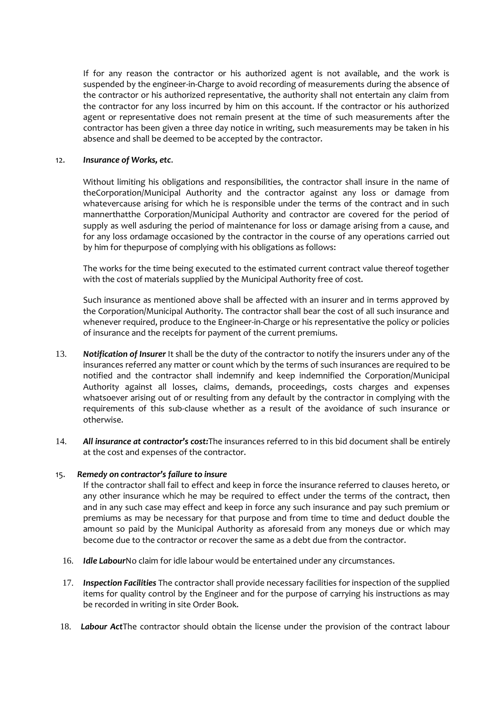If for any reason the contractor or his authorized agent is not available, and the work is suspended by the engineer-in-Charge to avoid recording of measurements during the absence of the contractor or his authorized representative, the authority shall not entertain any claim from the contractor for any loss incurred by him on this account. If the contractor or his authorized agent or representative does not remain present at the time of such measurements after the contractor has been given a three day notice in writing, such measurements may be taken in his absence and shall be deemed to be accepted by the contractor.

#### 12. *Insurance of Works, etc*.

Without limiting his obligations and responsibilities, the contractor shall insure in the name of theCorporation/Municipal Authority and the contractor against any loss or damage from whatevercause arising for which he is responsible under the terms of the contract and in such mannerthatthe Corporation/Municipal Authority and contractor are covered for the period of supply as well asduring the period of maintenance for loss or damage arising from a cause, and for any loss ordamage occasioned by the contractor in the course of any operations carried out by him for thepurpose of complying with his obligations as follows:

The works for the time being executed to the estimated current contract value thereof together with the cost of materials supplied by the Municipal Authority free of cost.

Such insurance as mentioned above shall be affected with an insurer and in terms approved by the Corporation/Municipal Authority. The contractor shall bear the cost of all such insurance and whenever required, produce to the Engineer-in-Charge or his representative the policy or policies of insurance and the receipts for payment of the current premiums.

- 13. *Notification of Insurer* It shall be the duty of the contractor to notify the insurers under any of the insurances referred any matter or count which by the terms of such insurances are required to be notified and the contractor shall indemnify and keep indemnified the Corporation/Municipal Authority against all losses, claims, demands, proceedings, costs charges and expenses whatsoever arising out of or resulting from any default by the contractor in complying with the requirements of this sub-clause whether as a result of the avoidance of such insurance or otherwise.
- 14. *All insurance at contractor's cost:*The insurances referred to in this bid document shall be entirely at the cost and expenses of the contractor.

#### 15. *Remedy on contractor's failure to insure*

If the contractor shall fail to effect and keep in force the insurance referred to clauses hereto, or any other insurance which he may be required to effect under the terms of the contract, then and in any such case may effect and keep in force any such insurance and pay such premium or premiums as may be necessary for that purpose and from time to time and deduct double the amount so paid by the Municipal Authority as aforesaid from any moneys due or which may become due to the contractor or recover the same as a debt due from the contractor.

- 16. *Idle Labour*No claim for idle labour would be entertained under any circumstances.
- 17. *Inspection Facilities* The contractor shall provide necessary facilities for inspection of the supplied items for quality control by the Engineer and for the purpose of carrying his instructions as may be recorded in writing in site Order Book.
- 18. *Labour Act*The contractor should obtain the license under the provision of the contract labour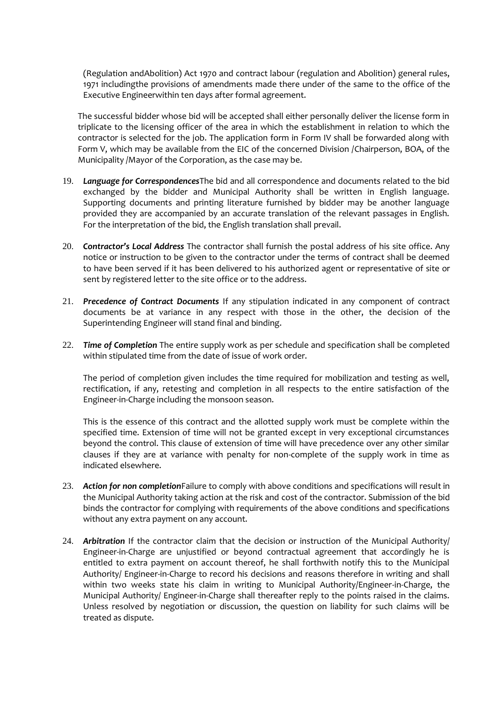(Regulation andAbolition) Act 1970 and contract labour (regulation and Abolition) general rules, 1971 includingthe provisions of amendments made there under of the same to the office of the Executive Engineerwithin ten days after formal agreement.

The successful bidder whose bid will be accepted shall either personally deliver the license form in triplicate to the licensing officer of the area in which the establishment in relation to which the contractor is selected for the job. The application form in Form IV shall be forwarded along with Form V, which may be available from the EIC of the concerned Division /Chairperson, BOA, of the Municipality /Mayor of the Corporation, as the case may be.

- 19. *Language for Correspondences*The bid and all correspondence and documents related to the bid exchanged by the bidder and Municipal Authority shall be written in English language. Supporting documents and printing literature furnished by bidder may be another language provided they are accompanied by an accurate translation of the relevant passages in English. For the interpretation of the bid, the English translation shall prevail.
- 20. *Contractor's Local Address* The contractor shall furnish the postal address of his site office. Any notice or instruction to be given to the contractor under the terms of contract shall be deemed to have been served if it has been delivered to his authorized agent or representative of site or sent by registered letter to the site office or to the address.
- 21. *Precedence of Contract Documents* If any stipulation indicated in any component of contract documents be at variance in any respect with those in the other, the decision of the Superintending Engineer will stand final and binding.
- 22. *Time of Completion* The entire supply work as per schedule and specification shall be completed within stipulated time from the date of issue of work order.

The period of completion given includes the time required for mobilization and testing as well, rectification, if any, retesting and completion in all respects to the entire satisfaction of the Engineer-in-Charge including the monsoon season.

This is the essence of this contract and the allotted supply work must be complete within the specified time. Extension of time will not be granted except in very exceptional circumstances beyond the control. This clause of extension of time will have precedence over any other similar clauses if they are at variance with penalty for non-complete of the supply work in time as indicated elsewhere.

- 23. *Action for non completion*Failure to comply with above conditions and specifications will result in the Municipal Authority taking action at the risk and cost of the contractor. Submission of the bid binds the contractor for complying with requirements of the above conditions and specifications without any extra payment on any account.
- 24. *Arbitration* If the contractor claim that the decision or instruction of the Municipal Authority/ Engineer-in-Charge are unjustified or beyond contractual agreement that accordingly he is entitled to extra payment on account thereof, he shall forthwith notify this to the Municipal Authority/ Engineer-in-Charge to record his decisions and reasons therefore in writing and shall within two weeks state his claim in writing to Municipal Authority/Engineer-in-Charge, the Municipal Authority/ Engineer-in-Charge shall thereafter reply to the points raised in the claims. Unless resolved by negotiation or discussion, the question on liability for such claims will be treated as dispute.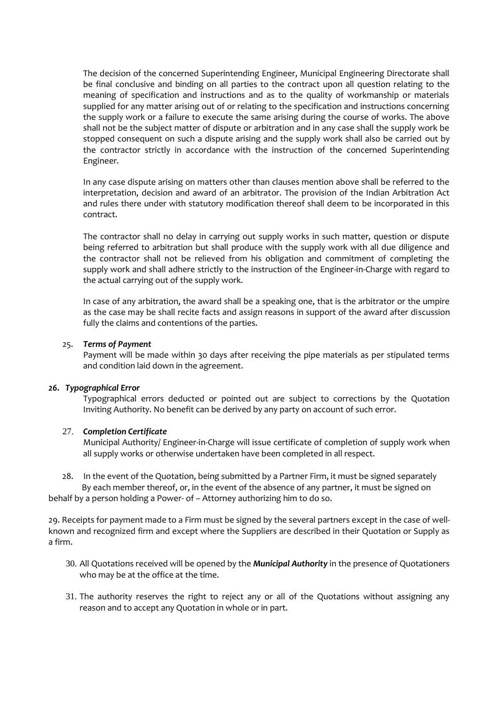The decision of the concerned Superintending Engineer, Municipal Engineering Directorate shall be final conclusive and binding on all parties to the contract upon all question relating to the meaning of specification and instructions and as to the quality of workmanship or materials supplied for any matter arising out of or relating to the specification and instructions concerning the supply work or a failure to execute the same arising during the course of works. The above shall not be the subject matter of dispute or arbitration and in any case shall the supply work be stopped consequent on such a dispute arising and the supply work shall also be carried out by the contractor strictly in accordance with the instruction of the concerned Superintending Engineer.

In any case dispute arising on matters other than clauses mention above shall be referred to the interpretation, decision and award of an arbitrator. The provision of the Indian Arbitration Act and rules there under with statutory modification thereof shall deem to be incorporated in this contract.

The contractor shall no delay in carrying out supply works in such matter, question or dispute being referred to arbitration but shall produce with the supply work with all due diligence and the contractor shall not be relieved from his obligation and commitment of completing the supply work and shall adhere strictly to the instruction of the Engineer-in-Charge with regard to the actual carrying out of the supply work.

In case of any arbitration, the award shall be a speaking one, that is the arbitrator or the umpire as the case may be shall recite facts and assign reasons in support of the award after discussion fully the claims and contentions of the parties.

#### 25. *Terms of Payment*

Payment will be made within 30 days after receiving the pipe materials as per stipulated terms and condition laid down in the agreement.

#### *26. Typographical Error*

Typographical errors deducted or pointed out are subject to corrections by the Quotation Inviting Authority. No benefit can be derived by any party on account of such error.

#### 27. *Completion Certificate*

Municipal Authority/ Engineer-in-Charge will issue certificate of completion of supply work when all supply works or otherwise undertaken have been completed in all respect.

28. In the event of the Quotation, being submitted by a Partner Firm, it must be signed separately By each member thereof, or, in the event of the absence of any partner, it must be signed on behalf by a person holding a Power- of – Attorney authorizing him to do so.

29. Receipts for payment made to a Firm must be signed by the several partners except in the case of well known and recognized firm and except where the Suppliers are described in their Quotation or Supply as a firm.

- 30. All Quotations received will be opened by the *Municipal Authority* in the presence of Quotationers who may be at the office at the time.
- 31. The authority reserves the right to reject any or all of the Quotations without assigning any reason and to accept any Quotation in whole or in part.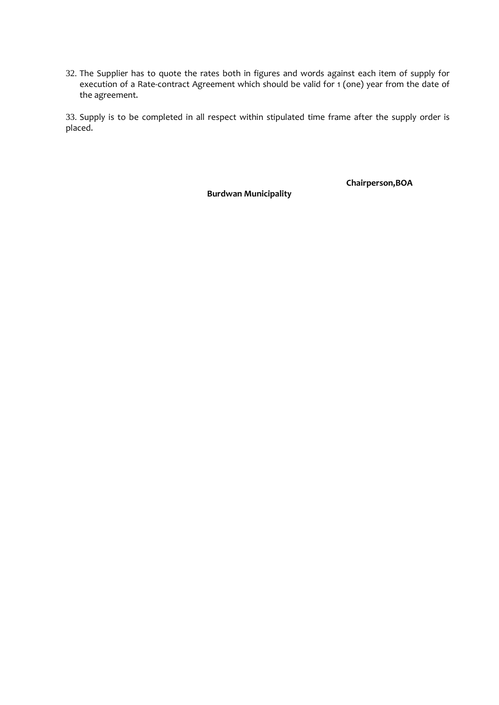32. The Supplier has to quote the rates both in figures and words against each item of supply for execution of a Rate-contract Agreement which should be valid for 1 (one) year from the date of the agreement.

33. Supply is to be completed in all respect within stipulated time frame after the supply order is placed.

**Burdwan Municipality**

**Chairperson,BOA**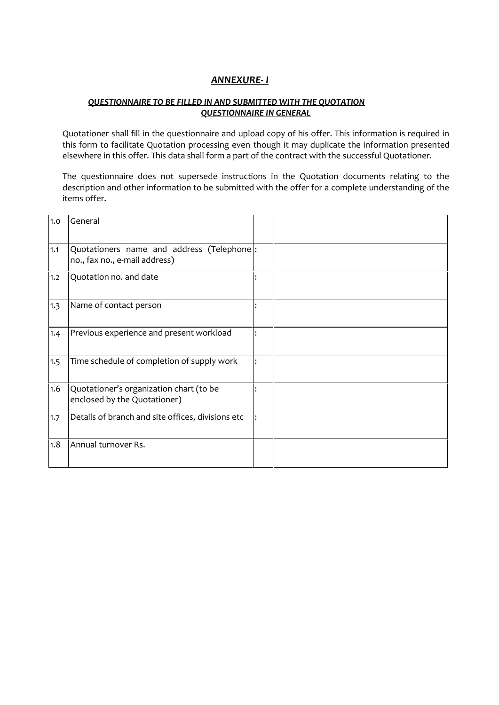## *ANNEXURE- I*

## *QUESTIONNAIRE TO BE FILLED IN AND SUBMITTED WITH THE QUOTATION QUESTIONNAIRE IN GENERAL*

Quotationer shall fill in the questionnaire and upload copy of his offer. This information is required in this form to facilitate Quotation processing even though it may duplicate the information presented elsewhere in this offer. This data shall form a part of the contract with the successful Quotationer.

The questionnaire does not supersede instructions in the Quotation documents relating to the description and other information to be submitted with the offer for a complete understanding of the items offer.

| 1.0 | General                                                                     |  |
|-----|-----------------------------------------------------------------------------|--|
| 1.1 | Quotationers name and address (Telephone):<br>no., fax no., e-mail address) |  |
| 1.2 | Quotation no. and date                                                      |  |
| 1.3 | Name of contact person                                                      |  |
| 1.4 | Previous experience and present workload                                    |  |
| 1.5 | Time schedule of completion of supply work                                  |  |
| 1.6 | Quotationer's organization chart (to be<br>enclosed by the Quotationer)     |  |
| 1.7 | Details of branch and site offices, divisions etc                           |  |
| 1.8 | Annual turnover Rs.                                                         |  |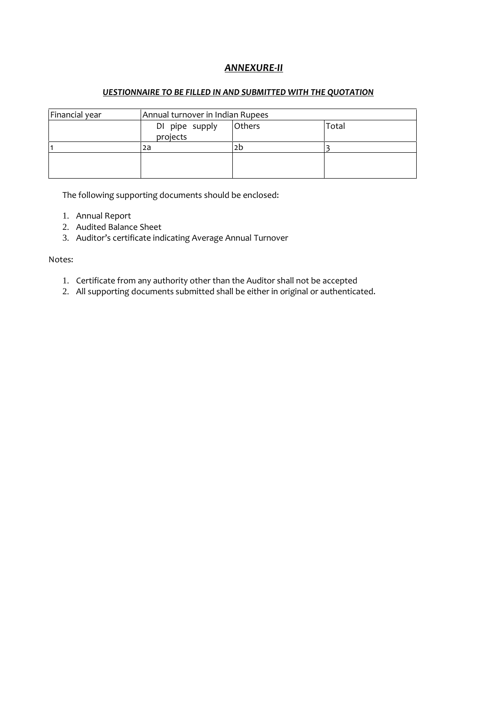## *ANNEXURE-II*

#### *UESTIONNAIRE TO BE FILLED IN AND SUBMITTED WITH THE QUOTATION*

| Financial year | Annual turnover in Indian Rupees |               |       |  |
|----------------|----------------------------------|---------------|-------|--|
|                | DI pipe supply                   | <b>Others</b> | Total |  |
|                | projects                         |               |       |  |
|                | 2a                               | 2b            |       |  |
|                |                                  |               |       |  |
|                |                                  |               |       |  |
|                |                                  |               |       |  |

The following supporting documents should be enclosed:

- 1. Annual Report
- 2. Audited Balance Sheet
- 3. Auditor's certificate indicating Average Annual Turnover

#### Notes:

- 1. Certificate from any authority other than the Auditor shall not be accepted
- 2. All supporting documents submitted shall be either in original or authenticated.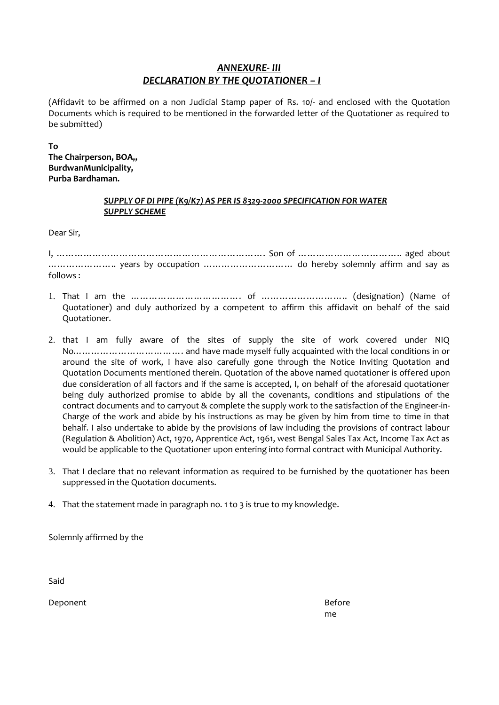## *ANNEXURE- III DECLARATION BY THE QUOTATIONER – I*

(Affidavit to be affirmed on a non Judicial Stamp paper of Rs. 10/- and enclosed with the Quotation Documents which is required to be mentioned in the forwarded letter of the Quotationer as required to be submitted)

**To**

**The Chairperson, BOA,, BurdwanMunicipality, Purba Bardhaman.**

### *SUPPLY OF DI PIPE (K9/K7) AS PER IS 8329-2000 SPECIFICATION FOR WATER SUPPLY SCHEME*

Dear Sir,

I, ……………………………………………………………. Son of …………………………….. aged about ………………….. years by occupation ………………………… do hereby solemnly affirm and say as follows :

- 1. That I am the ……………………………………………………………………………………… (designation) (Name of Quotationer) and duly authorized by a competent to affirm this affidavit on behalf of the said Quotationer.
- 2. that I am fully aware of the sites of supply the site of work covered under NIQ No………………………………. and have made myself fully acquainted with the local conditions in or around the site of work, I have also carefully gone through the Notice Inviting Quotation and Quotation Documents mentioned therein. Quotation of the above named quotationer is offered upon due consideration of all factors and if the same is accepted, I, on behalf of the aforesaid quotationer being duly authorized promise to abide by all the covenants, conditions and stipulations of the contract documents and to carryout & complete the supply work to the satisfaction of the Engineer-in- Charge of the work and abide by his instructions as may be given by him from time to time in that behalf. I also undertake to abide by the provisions of law including the provisions of contract labour (Regulation & Abolition) Act, 1970, Apprentice Act, 1961, west Bengal Sales Tax Act, Income Tax Act as would be applicable to the Quotationer upon entering into formal contract with Municipal Authority.
- 3. That I declare that no relevant information as required to be furnished by the quotationer has been suppressed in the Quotation documents.

4. That the statement made in paragraph no. 1 to 3 is true to my knowledge.

Solemnly affirmed by the

Said

Deponent and the control of the control of the control of the Before Before and the Before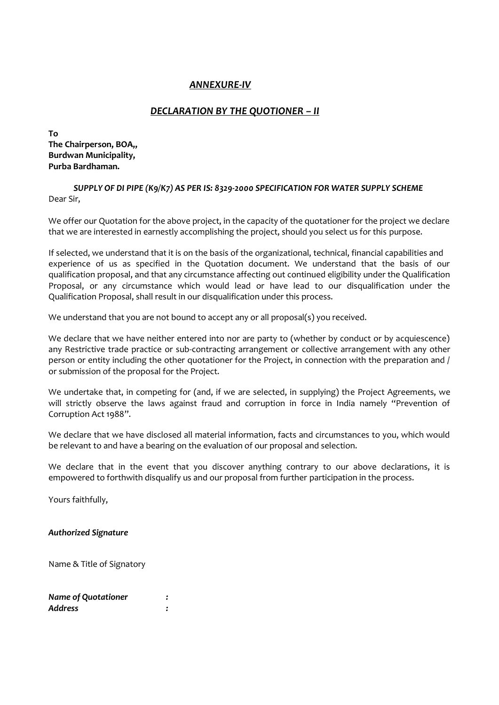## *ANNEXURE-IV*

## *DECLARATION BY THE QUOTIONER – II*

**To The Chairperson, BOA,, Burdwan Municipality, Purba Bardhaman.**

#### *SUPPLY OF DI PIPE (K9/K7) AS PER IS: 8329-2000 SPECIFICATION FOR WATER SUPPLY SCHEME* Dear Sir,

We offer our Quotation for the above project, in the capacity of the quotationer for the project we declare that we are interested in earnestly accomplishing the project, should you select us for this purpose.

If selected, we understand that it is on the basis of the organizational, technical, financial capabilities and experience of us as specified in the Quotation document. We understand that the basis of our qualification proposal, and that any circumstance affecting out continued eligibility under the Qualification Proposal, or any circumstance which would lead or have lead to our disqualification under the Qualification Proposal, shall result in our disqualification under this process.

We understand that you are not bound to accept any or all proposal(s) you received.

We declare that we have neither entered into nor are party to (whether by conduct or by acquiescence) any Restrictive trade practice or sub-contracting arrangement or collective arrangement with any other person or entity including the other quotationer for the Project, in connection with the preparation and / or submission of the proposal for the Project.

We undertake that, in competing for (and, if we are selected, in supplying) the Project Agreements, we will strictly observe the laws against fraud and corruption in force in India namely "Prevention of Corruption Act 1988".

We declare that we have disclosed all material information, facts and circumstances to you, which would be relevant to and have a bearing on the evaluation of our proposal and selection.

We declare that in the event that you discover anything contrary to our above declarations, it is empowered to forthwith disqualify us and our proposal from further participation in the process.

Yours faithfully,

#### *Authorized Signature*

Name & Title of Signatory

| <b>Name of Quotationer</b> |  |
|----------------------------|--|
| Address                    |  |